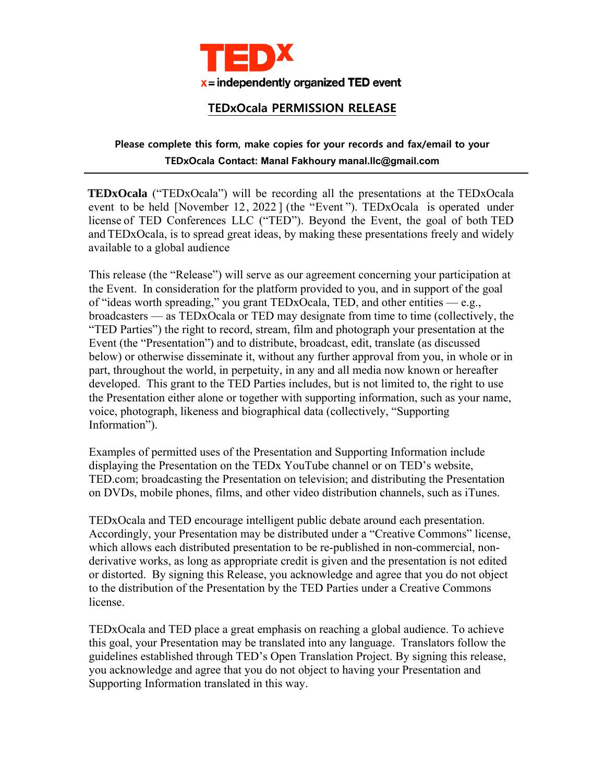

## **TEDxOcala PERMISSION RELEASE**

## **Please complete this form, make copies for your records and fax/email to your TEDxOcala Contact: Manal Fakhoury manal.llc@gmail.com**

**TEDxOcala** ("TEDxOcala") will be recording all the presentations at the TEDxOcala event to be held [November 12, 2022 ] (the "Event "). TEDxOcala is operated under license of TED Conferences LLC ("TED"). Beyond the Event, the goal of both TED and TEDxOcala, is to spread great ideas, by making these presentations freely and widely available to a global audience

This release (the "Release") will serve as our agreement concerning your participation at the Event. In consideration for the platform provided to you, and in support of the goal of "ideas worth spreading," you grant TEDxOcala, TED, and other entities — e.g., broadcasters — as TEDxOcala or TED may designate from time to time (collectively, the "TED Parties") the right to record, stream, film and photograph your presentation at the Event (the "Presentation") and to distribute, broadcast, edit, translate (as discussed below) or otherwise disseminate it, without any further approval from you, in whole or in part, throughout the world, in perpetuity, in any and all media now known or hereafter developed. This grant to the TED Parties includes, but is not limited to, the right to use the Presentation either alone or together with supporting information, such as your name, voice, photograph, likeness and biographical data (collectively, "Supporting Information").

Examples of permitted uses of the Presentation and Supporting Information include displaying the Presentation on the TEDx YouTube channel or on TED's website, TED.com; broadcasting the Presentation on television; and distributing the Presentation on DVDs, mobile phones, films, and other video distribution channels, such as iTunes.

TEDxOcala and TED encourage intelligent public debate around each presentation. Accordingly, your Presentation may be distributed under a "Creative Commons" license, which allows each distributed presentation to be re-published in non-commercial, nonderivative works, as long as appropriate credit is given and the presentation is not edited or distorted. By signing this Release, you acknowledge and agree that you do not object to the distribution of the Presentation by the TED Parties under a Creative Commons license.

TEDxOcala and TED place a great emphasis on reaching a global audience. To achieve this goal, your Presentation may be translated into any language. Translators follow the guidelines established through TED's Open Translation Project. By signing this release, you acknowledge and agree that you do not object to having your Presentation and Supporting Information translated in this way.